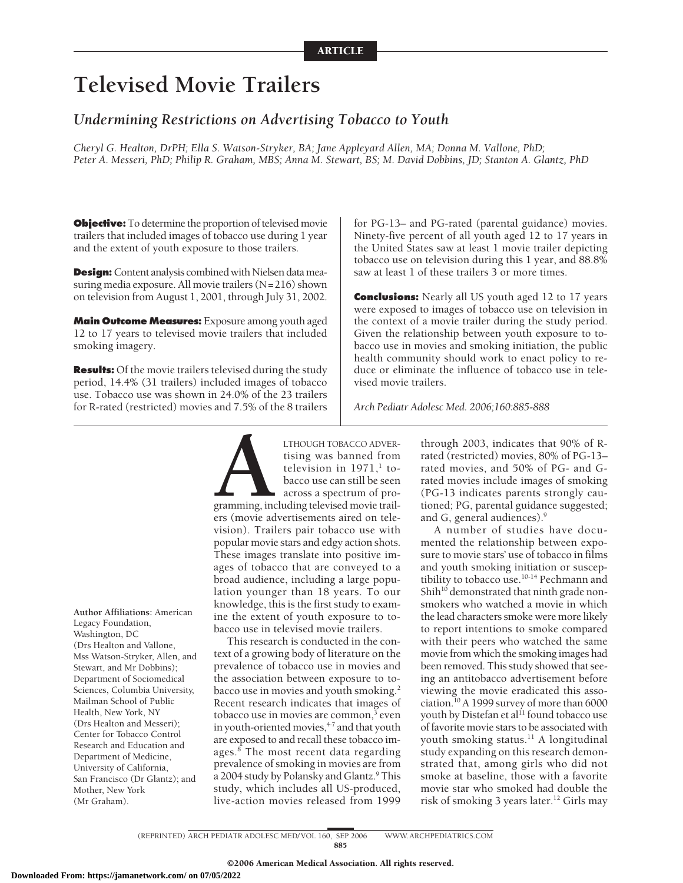# **Televised Movie Trailers**

# *Undermining Restrictions on Advertising Tobacco to Youth*

*Cheryl G. Healton, DrPH; Ella S. Watson-Stryker, BA; Jane Appleyard Allen, MA; Donna M. Vallone, PhD; Peter A. Messeri, PhD; Philip R. Graham, MBS; Anna M. Stewart, BS; M. David Dobbins, JD; Stanton A. Glantz, PhD*

**Objective:** To determine the proportion of televised movie trailers that included images of tobacco use during 1 year and the extent of youth exposure to those trailers.

**Design:** Content analysis combined with Nielsen data measuring media exposure. All movie trailers  $(N=216)$  shown on television from August 1, 2001, through July 31, 2002.

**Main Outcome Measures:** Exposure among youth aged 12 to 17 years to televised movie trailers that included smoking imagery.

**Results:** Of the movie trailers televised during the study period, 14.4% (31 trailers) included images of tobacco use. Tobacco use was shown in 24.0% of the 23 trailers for R-rated (restricted) movies and 7.5% of the 8 trailers

for PG-13– and PG-rated (parental guidance) movies. Ninety-five percent of all youth aged 12 to 17 years in the United States saw at least 1 movie trailer depicting tobacco use on television during this 1 year, and 88.8% saw at least 1 of these trailers 3 or more times.

**Conclusions:** Nearly all US youth aged 12 to 17 years were exposed to images of tobacco use on television in the context of a movie trailer during the study period. Given the relationship between youth exposure to tobacco use in movies and smoking initiation, the public health community should work to enact policy to reduce or eliminate the influence of tobacco use in televised movie trailers.

*Arch Pediatr Adolesc Med. 2006;160:885-888*

**Author Affiliations:** American Legacy Foundation, Washington, DC (Drs Healton and Vallone, Mss Watson-Stryker, Allen, and Stewart, and Mr Dobbins); Department of Sociomedical Sciences, Columbia University, Mailman School of Public Health, New York, NY (Drs Healton and Messeri); Center for Tobacco Control Research and Education and Department of Medicine, University of California, San Francisco (Dr Glantz); and Mother, New York (Mr Graham).

LTHOUGH TOBACCO ADVER-<br>tising was banned from<br>television in 1971,<sup>1</sup> to-<br>bacco use can still be seen<br>across a spectrum of pro-<br>gramming, including televised movie trail-<br>ers (movie advertisements aired on teletising was banned from television in  $1971$ ,<sup>1</sup> tobacco use can still be seen across a spectrum of programming, including televised movie trailers (movie advertisements aired on tele-

vision). Trailers pair tobacco use with popular movie stars and edgy action shots. These images translate into positive images of tobacco that are conveyed to a broad audience, including a large population younger than 18 years. To our knowledge, this is the first study to examine the extent of youth exposure to tobacco use in televised movie trailers.

This research is conducted in the context of a growing body of literature on the prevalence of tobacco use in movies and the association between exposure to tobacco use in movies and youth smoking.<sup>2</sup> Recent research indicates that images of tobacco use in movies are common,<sup>3</sup> even in youth-oriented movies,<sup>4-7</sup> and that youth are exposed to and recall these tobacco images.<sup>8</sup> The most recent data regarding prevalence of smoking in movies are from a 2004 study by Polansky and Glantz.<sup>9</sup> This study, which includes all US-produced, live-action movies released from 1999

through 2003, indicates that 90% of Rrated (restricted) movies, 80% of PG-13– rated movies, and 50% of PG- and Grated movies include images of smoking (PG-13 indicates parents strongly cautioned; PG, parental guidance suggested; and G, general audiences).<sup>9</sup>

A number of studies have documented the relationship between exposure to movie stars' use of tobacco in films and youth smoking initiation or susceptibility to tobacco use. $10-14}$  Pechmann and Shih<sup>10</sup> demonstrated that ninth grade nonsmokers who watched a movie in which the lead characters smoke were more likely to report intentions to smoke compared with their peers who watched the same movie from which the smoking images had been removed. This study showed that seeing an antitobacco advertisement before viewing the movie eradicated this association.10 A 1999 survey of more than 6000 youth by Distefan et al<sup>11</sup> found tobacco use of favorite movie stars to be associated with youth smoking status.<sup>11</sup> A longitudinal study expanding on this research demonstrated that, among girls who did not smoke at baseline, those with a favorite movie star who smoked had double the risk of smoking 3 years later.<sup>12</sup> Girls may

(REPRINTED) ARCH PEDIATR ADOLESC MED/ VOL 160, SEP 2006 WWW.ARCHPEDIATRICS.COM 885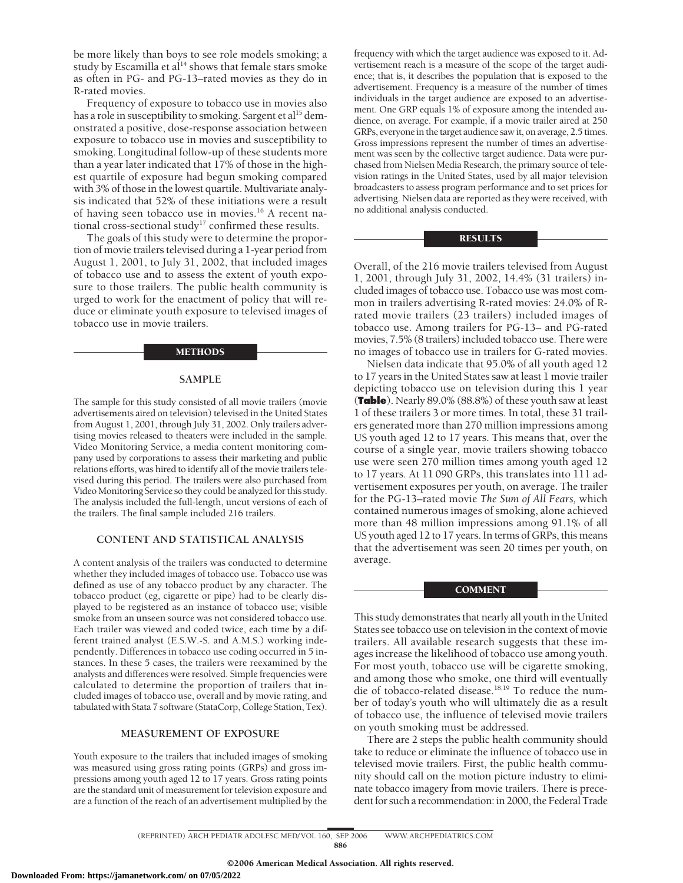be more likely than boys to see role models smoking; a study by Escamilla et al<sup>14</sup> shows that female stars smoke as often in PG- and PG-13–rated movies as they do in R-rated movies.

Frequency of exposure to tobacco use in movies also has a role in susceptibility to smoking. Sargent et al<sup>15</sup> demonstrated a positive, dose-response association between exposure to tobacco use in movies and susceptibility to smoking. Longitudinal follow-up of these students more than a year later indicated that 17% of those in the highest quartile of exposure had begun smoking compared with 3% of those in the lowest quartile. Multivariate analysis indicated that 52% of these initiations were a result of having seen tobacco use in movies.<sup>16</sup> A recent national cross-sectional study<sup>17</sup> confirmed these results.

The goals of this study were to determine the proportion of movie trailers televised during a 1-year period from August 1, 2001, to July 31, 2002, that included images of tobacco use and to assess the extent of youth exposure to those trailers. The public health community is urged to work for the enactment of policy that will reduce or eliminate youth exposure to televised images of tobacco use in movie trailers.

#### METHODS

### **SAMPLE**

The sample for this study consisted of all movie trailers (movie advertisements aired on television) televised in the United States from August 1, 2001, through July 31, 2002. Only trailers advertising movies released to theaters were included in the sample. Video Monitoring Service, a media content monitoring company used by corporations to assess their marketing and public relations efforts, was hired to identify all of the movie trailers televised during this period. The trailers were also purchased from Video Monitoring Service so they could be analyzed for this study. The analysis included the full-length, uncut versions of each of the trailers. The final sample included 216 trailers.

# **CONTENT AND STATISTICAL ANALYSIS**

A content analysis of the trailers was conducted to determine whether they included images of tobacco use. Tobacco use was defined as use of any tobacco product by any character. The tobacco product (eg, cigarette or pipe) had to be clearly displayed to be registered as an instance of tobacco use; visible smoke from an unseen source was not considered tobacco use. Each trailer was viewed and coded twice, each time by a different trained analyst (E.S.W.-S. and A.M.S.) working independently. Differences in tobacco use coding occurred in 5 instances. In these 5 cases, the trailers were reexamined by the analysts and differences were resolved. Simple frequencies were calculated to determine the proportion of trailers that included images of tobacco use, overall and by movie rating, and tabulated with Stata 7 software (StataCorp, College Station, Tex).

## **MEASUREMENT OF EXPOSURE**

Youth exposure to the trailers that included images of smoking was measured using gross rating points (GRPs) and gross impressions among youth aged 12 to 17 years. Gross rating points are the standard unit of measurement for television exposure and are a function of the reach of an advertisement multiplied by the

frequency with which the target audience was exposed to it. Advertisement reach is a measure of the scope of the target audience; that is, it describes the population that is exposed to the advertisement. Frequency is a measure of the number of times individuals in the target audience are exposed to an advertisement. One GRP equals 1% of exposure among the intended audience, on average. For example, if a movie trailer aired at 250 GRPs, everyone in the target audience saw it, on average, 2.5 times. Gross impressions represent the number of times an advertisement was seen by the collective target audience. Data were purchased from Nielsen Media Research, the primary source of television ratings in the United States, used by all major television broadcasters to assess program performance and to set prices for advertising. Nielsen data are reported as they were received, with no additional analysis conducted.

# **RESULTS**

Overall, of the 216 movie trailers televised from August 1, 2001, through July 31, 2002, 14.4% (31 trailers) included images of tobacco use. Tobacco use was most common in trailers advertising R-rated movies: 24.0% of Rrated movie trailers (23 trailers) included images of tobacco use. Among trailers for PG-13– and PG-rated movies, 7.5% (8 trailers) included tobacco use. There were no images of tobacco use in trailers for G-rated movies.

Nielsen data indicate that 95.0% of all youth aged 12 to 17 years in the United States saw at least 1 movie trailer depicting tobacco use on television during this 1 year (**Table**). Nearly 89.0% (88.8%) of these youth saw at least 1 of these trailers 3 or more times. In total, these 31 trailers generated more than 270 million impressions among US youth aged 12 to 17 years. This means that, over the course of a single year, movie trailers showing tobacco use were seen 270 million times among youth aged 12 to 17 years. At 11 090 GRPs, this translates into 111 advertisement exposures per youth, on average. The trailer for the PG-13–rated movie *The Sum of All Fears,* which contained numerous images of smoking, alone achieved more than 48 million impressions among 91.1% of all US youth aged 12 to 17 years. In terms of GRPs, this means that the advertisement was seen 20 times per youth, on average.

#### COMMENT

This study demonstrates that nearly all youth in the United States see tobacco use on television in the context of movie trailers. All available research suggests that these images increase the likelihood of tobacco use among youth. For most youth, tobacco use will be cigarette smoking, and among those who smoke, one third will eventually die of tobacco-related disease.<sup>18,19</sup> To reduce the number of today's youth who will ultimately die as a result of tobacco use, the influence of televised movie trailers on youth smoking must be addressed.

There are 2 steps the public health community should take to reduce or eliminate the influence of tobacco use in televised movie trailers. First, the public health community should call on the motion picture industry to eliminate tobacco imagery from movie trailers. There is precedent for such a recommendation: in 2000, the Federal Trade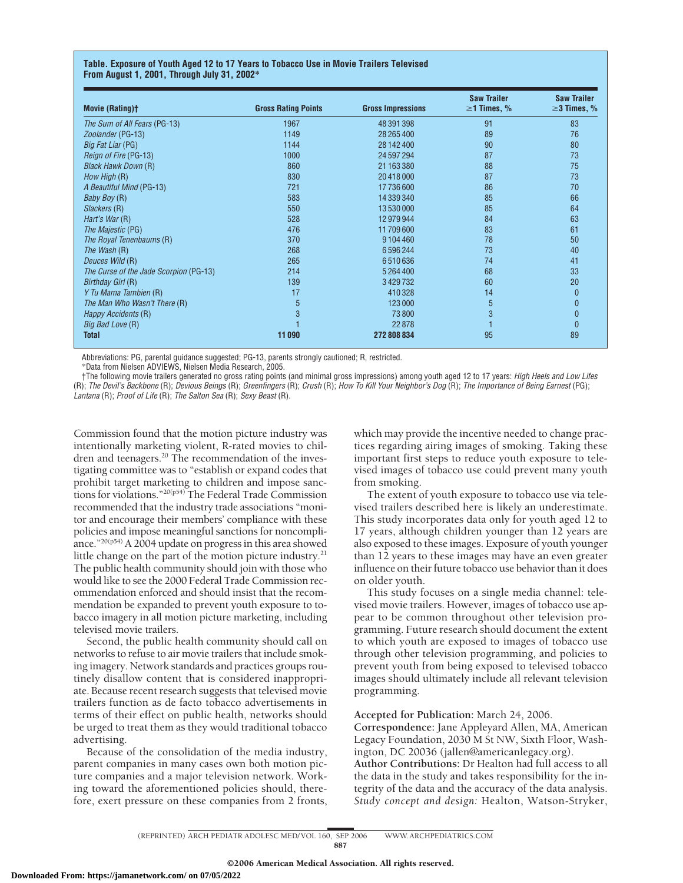# **Table. Exposure of Youth Aged 12 to 17 Years to Tobacco Use in Movie Trailers Televised From August 1, 2001, Through July 31, 2002\***

| <b>Movie (Rating)t</b>                 | <b>Gross Rating Points</b> | <b>Gross Impressions</b> | <b>Saw Trailer</b><br>$\geq$ 1 Times, % | <b>Saw Trailer</b><br>$\geq$ 3 Times, % |
|----------------------------------------|----------------------------|--------------------------|-----------------------------------------|-----------------------------------------|
| The Sum of All Fears (PG-13)           | 1967                       | 48 391 398               | 91                                      | 83                                      |
| Zoolander (PG-13)                      | 1149                       | 28 265 400               | 89                                      | 76                                      |
| <i>Big Fat Liar</i> (PG)               | 1144                       | 28 142 400               | 90                                      | 80                                      |
| Reign of Fire (PG-13)                  | 1000                       | 24 597 294               | 87                                      | 73                                      |
| <b>Black Hawk Down (R)</b>             | 860                        | 21 163 380               | 88                                      | 75                                      |
| How High (R)                           | 830                        | 20 418 000               | 87                                      | 73                                      |
| A Beautiful Mind (PG-13)               | 721                        | 17736600                 | 86                                      | 70                                      |
| <i>Baby Boy</i> (R)                    | 583                        | 14 339 340               | 85                                      | 66                                      |
| Slackers (R)                           | 550                        | 13 530 000               | 85                                      | 64                                      |
| Hart's War (R)                         | 528                        | 12979944                 | 84                                      | 63                                      |
| The Majestic (PG)                      | 476                        | 11709600                 | 83                                      | 61                                      |
| The Royal Tenenbaums (R)               | 370                        | 9104460                  | 78                                      | 50                                      |
| The Wash (R)                           | 268                        | 6596244                  | 73                                      | 40                                      |
| Deuces Wild (R)                        | 265                        | 6510636                  | 74                                      | 41                                      |
| The Curse of the Jade Scorpion (PG-13) | 214                        | 5 2 6 4 4 0 0            | 68                                      | 33                                      |
| Birthday Girl (R)                      | 139                        | 3429732                  | 60                                      | 20                                      |
| Y Tu Mama Tambien (R)                  | 17                         | 410328                   | 14                                      | $\mathbf{0}$                            |
| The Man Who Wasn't There (R)           | 5                          | 123 000                  | 5                                       | 0                                       |
| Happy Accidents (R)                    | 3                          | 73 800                   | 3                                       | 0                                       |
| Big Bad Love (R)                       |                            | 22 878                   |                                         | $\mathbf{0}$                            |
| Total                                  | 11090                      | 272 808 834              | 95                                      | 89                                      |

Abbreviations: PG, parental guidance suggested; PG-13, parents strongly cautioned; R, restricted.

\*Data from Nielsen ADVIEWS, Nielsen Media Research, 2005.

†The following movie trailers generated no gross rating points (and minimal gross impressions) among youth aged 12 to 17 years: *High Heels and Low Lifes* (R); *The Devil's Backbone* (R); *Devious Beings* (R); *Greenfingers* (R); *Crush* (R); *How To Kill Your Neighbor's Dog* (R); *The Importance of Being Earnest* (PG); *Lantana* (R); *Proof of Life* (R); *The Salton Sea* (R); *Sexy Beast* (R).

Commission found that the motion picture industry was intentionally marketing violent, R-rated movies to children and teenagers.<sup>20</sup> The recommendation of the investigating committee was to "establish or expand codes that prohibit target marketing to children and impose sanctions for violations."20(p54) The Federal Trade Commission recommended that the industry trade associations "monitor and encourage their members' compliance with these policies and impose meaningful sanctions for noncompliance."20(p54) A 2004 update on progress in this area showed little change on the part of the motion picture industry. $21$ The public health community should join with those who would like to see the 2000 Federal Trade Commission recommendation enforced and should insist that the recommendation be expanded to prevent youth exposure to tobacco imagery in all motion picture marketing, including televised movie trailers.

Second, the public health community should call on networks to refuse to air movie trailers that include smoking imagery. Network standards and practices groups routinely disallow content that is considered inappropriate. Because recent research suggests that televised movie trailers function as de facto tobacco advertisements in terms of their effect on public health, networks should be urged to treat them as they would traditional tobacco advertising.

Because of the consolidation of the media industry, parent companies in many cases own both motion picture companies and a major television network. Working toward the aforementioned policies should, therefore, exert pressure on these companies from 2 fronts, which may provide the incentive needed to change practices regarding airing images of smoking. Taking these important first steps to reduce youth exposure to televised images of tobacco use could prevent many youth from smoking.

The extent of youth exposure to tobacco use via televised trailers described here is likely an underestimate. This study incorporates data only for youth aged 12 to 17 years, although children younger than 12 years are also exposed to these images. Exposure of youth younger than 12 years to these images may have an even greater influence on their future tobacco use behavior than it does on older youth.

This study focuses on a single media channel: televised movie trailers. However, images of tobacco use appear to be common throughout other television programming. Future research should document the extent to which youth are exposed to images of tobacco use through other television programming, and policies to prevent youth from being exposed to televised tobacco images should ultimately include all relevant television programming.

# **Accepted for Publication:** March 24, 2006.

**Correspondence:** Jane Appleyard Allen, MA, American Legacy Foundation, 2030 M St NW, Sixth Floor, Washington, DC 20036 (jallen@americanlegacy.org).

**Author Contributions:** Dr Healton had full access to all the data in the study and takes responsibility for the integrity of the data and the accuracy of the data analysis. *Study concept and design:* Healton, Watson-Stryker,